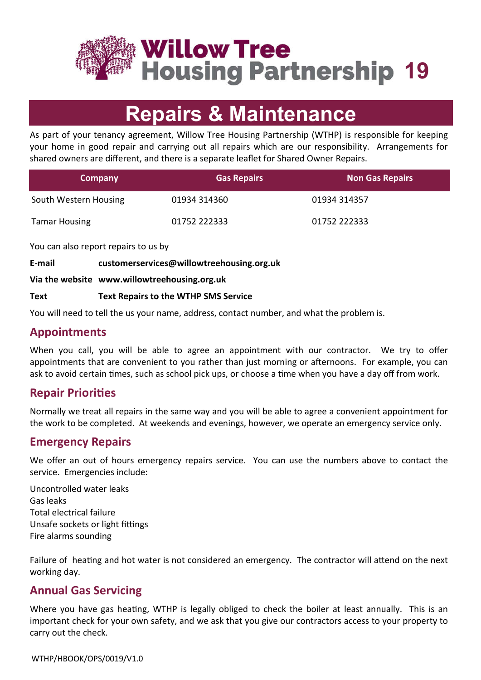

**Willow Tree Housing Partnership 19** 

# **Repairs & Maintenance**

As part of your tenancy agreement, Willow Tree Housing Partnership (WTHP) is responsible for keeping your home in good repair and carrying out all repairs which are our responsibility. Arrangements for shared owners are different, and there is a separate leaflet for Shared Owner Repairs.

| <b>Company</b>        | <b>Gas Repairs</b> | <b>Non Gas Repairs</b> |
|-----------------------|--------------------|------------------------|
| South Western Housing | 01934 314360       | 01934 314357           |
| <b>Tamar Housing</b>  | 01752 222333       | 01752 222333           |

You can also report repairs to us by

**E-mail customerservices@willowtreehousing.org.uk**

**Via the website www.willowtreehousing.org.uk**

#### **Text Text Repairs to the WTHP SMS Service**

You will need to tell the us your name, address, contact number, and what the problem is.

## **Appointments**

When you call, you will be able to agree an appointment with our contractor. We try to offer appointments that are convenient to you rather than just morning or afternoons. For example, you can ask to avoid certain times, such as school pick ups, or choose a time when you have a day off from work.

# **Repair Priorities**

Normally we treat all repairs in the same way and you will be able to agree a convenient appointment for the work to be completed. At weekends and evenings, however, we operate an emergency service only.

## **Emergency Repairs**

We offer an out of hours emergency repairs service. You can use the numbers above to contact the service. Emergencies include:

Uncontrolled water leaks Gas leaks Total electrical failure Unsafe sockets or light fittings Fire alarms sounding

Failure of heating and hot water is not considered an emergency. The contractor will attend on the next working day.

# **Annual Gas Servicing**

Where you have gas heating, WTHP is legally obliged to check the boiler at least annually. This is an important check for your own safety, and we ask that you give our contractors access to your property to carry out the check.